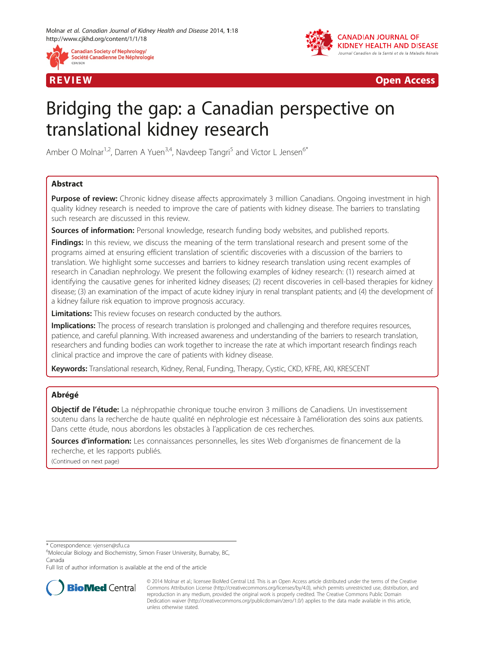



R EVI EW Open Access

# Bridging the gap: a Canadian perspective on translational kidney research

Amber O Molnar<sup>1,2</sup>, Darren A Yuen<sup>3,4</sup>, Navdeep Tangri<sup>5</sup> and Victor L Jensen<sup>6\*</sup>

## Abstract

**Purpose of review:** Chronic kidney disease affects approximately 3 million Canadians. Ongoing investment in high quality kidney research is needed to improve the care of patients with kidney disease. The barriers to translating such research are discussed in this review.

Sources of information: Personal knowledge, research funding body websites, and published reports.

Findings: In this review, we discuss the meaning of the term translational research and present some of the programs aimed at ensuring efficient translation of scientific discoveries with a discussion of the barriers to translation. We highlight some successes and barriers to kidney research translation using recent examples of research in Canadian nephrology. We present the following examples of kidney research: (1) research aimed at identifying the causative genes for inherited kidney diseases; (2) recent discoveries in cell-based therapies for kidney disease; (3) an examination of the impact of acute kidney injury in renal transplant patients; and (4) the development of a kidney failure risk equation to improve prognosis accuracy.

**Limitations:** This review focuses on research conducted by the authors.

Implications: The process of research translation is prolonged and challenging and therefore requires resources, patience, and careful planning. With increased awareness and understanding of the barriers to research translation, researchers and funding bodies can work together to increase the rate at which important research findings reach clinical practice and improve the care of patients with kidney disease.

Keywords: Translational research, Kidney, Renal, Funding, Therapy, Cystic, CKD, KFRE, AKI, KRESCENT

# Abrégé

Objectif de l'étude: La néphropathie chronique touche environ 3 millions de Canadiens. Un investissement soutenu dans la recherche de haute qualité en néphrologie est nécessaire à l'amélioration des soins aux patients. Dans cette étude, nous abordons les obstacles à l'application de ces recherches.

Sources d'information: Les connaissances personnelles, les sites Web d'organismes de financement de la recherche, et les rapports publiés.

(Continued on next page)

\* Correspondence: [vjensen@sfu.ca](mailto:vjensen@sfu.ca) <sup>6</sup>

Full list of author information is available at the end of the article



<sup>© 2014</sup> Molnar et al.; licensee BioMed Central Ltd. This is an Open Access article distributed under the terms of the Creative Commons Attribution License [\(http://creativecommons.org/licenses/by/4.0\)](http://creativecommons.org/licenses/by/4.0), which permits unrestricted use, distribution, and reproduction in any medium, provided the original work is properly credited. The Creative Commons Public Domain Dedication waiver [\(http://creativecommons.org/publicdomain/zero/1.0/](http://creativecommons.org/publicdomain/zero/1.0/)) applies to the data made available in this article, unless otherwise stated.

<sup>&</sup>lt;sup>6</sup>Molecular Biology and Biochemistry, Simon Fraser University, Burnaby, BC, Canada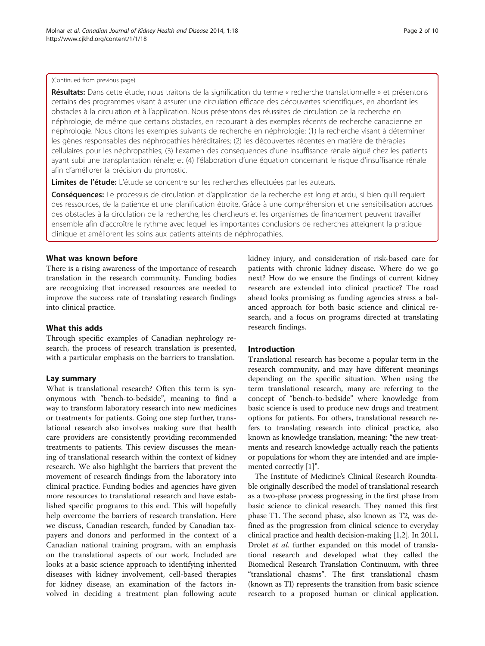#### (Continued from previous page)

Résultats: Dans cette étude, nous traitons de la signification du terme « recherche translationnelle » et présentons certains des programmes visant à assurer une circulation efficace des découvertes scientifiques, en abordant les obstacles à la circulation et à l'application. Nous présentons des réussites de circulation de la recherche en néphrologie, de même que certains obstacles, en recourant à des exemples récents de recherche canadienne en néphrologie. Nous citons les exemples suivants de recherche en néphrologie: (1) la recherche visant à déterminer les gènes responsables des néphropathies héréditaires; (2) les découvertes récentes en matière de thérapies cellulaires pour les néphropathies; (3) l'examen des conséquences d'une insuffisance rénale aiguë chez les patients ayant subi une transplantation rénale; et (4) l'élaboration d'une équation concernant le risque d'insuffisance rénale afin d'améliorer la précision du pronostic.

Limites de l'étude: L'étude se concentre sur les recherches effectuées par les auteurs.

Conséquences: Le processus de circulation et d'application de la recherche est long et ardu, si bien qu'il requiert des ressources, de la patience et une planification étroite. Grâce à une compréhension et une sensibilisation accrues des obstacles à la circulation de la recherche, les chercheurs et les organismes de financement peuvent travailler ensemble afin d'accroître le rythme avec lequel les importantes conclusions de recherches atteignent la pratique clinique et améliorent les soins aux patients atteints de néphropathies.

## What was known before

There is a rising awareness of the importance of research translation in the research community. Funding bodies are recognizing that increased resources are needed to improve the success rate of translating research findings into clinical practice.

### What this adds

Through specific examples of Canadian nephrology research, the process of research translation is presented, with a particular emphasis on the barriers to translation.

## Lay summary

What is translational research? Often this term is synonymous with "bench-to-bedside", meaning to find a way to transform laboratory research into new medicines or treatments for patients. Going one step further, translational research also involves making sure that health care providers are consistently providing recommended treatments to patients. This review discusses the meaning of translational research within the context of kidney research. We also highlight the barriers that prevent the movement of research findings from the laboratory into clinical practice. Funding bodies and agencies have given more resources to translational research and have established specific programs to this end. This will hopefully help overcome the barriers of research translation. Here we discuss, Canadian research, funded by Canadian taxpayers and donors and performed in the context of a Canadian national training program, with an emphasis on the translational aspects of our work. Included are looks at a basic science approach to identifying inherited diseases with kidney involvement, cell-based therapies for kidney disease, an examination of the factors involved in deciding a treatment plan following acute

kidney injury, and consideration of risk-based care for patients with chronic kidney disease. Where do we go next? How do we ensure the findings of current kidney research are extended into clinical practice? The road ahead looks promising as funding agencies stress a balanced approach for both basic science and clinical research, and a focus on programs directed at translating research findings.

## Introduction

Translational research has become a popular term in the research community, and may have different meanings depending on the specific situation. When using the term translational research, many are referring to the concept of "bench-to-bedside" where knowledge from basic science is used to produce new drugs and treatment options for patients. For others, translational research refers to translating research into clinical practice, also known as knowledge translation, meaning: "the new treatments and research knowledge actually reach the patients or populations for whom they are intended and are implemented correctly [\[1](#page-7-0)]".

The Institute of Medicine's Clinical Research Roundtable originally described the model of translational research as a two-phase process progressing in the first phase from basic science to clinical research. They named this first phase T1. The second phase, also known as T2, was defined as the progression from clinical science to everyday clinical practice and health decision-making [\[1,2](#page-7-0)]. In 2011, Drolet et al. further expanded on this model of translational research and developed what they called the Biomedical Research Translation Continuum, with three "translational chasms". The first translational chasm (known as TI) represents the transition from basic science research to a proposed human or clinical application.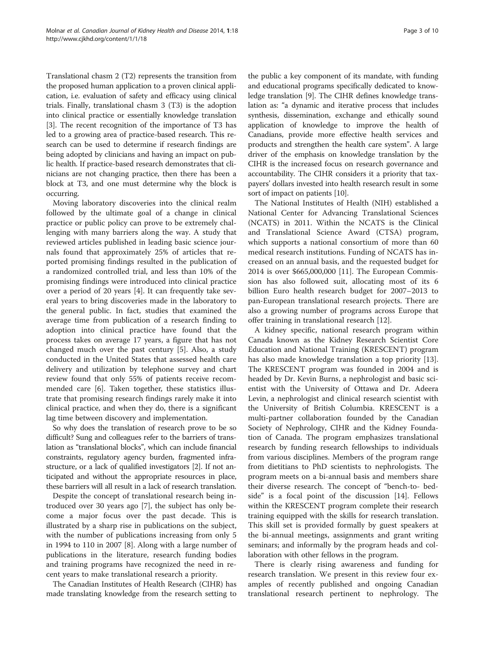Translational chasm 2 (T2) represents the transition from the proposed human application to a proven clinical application, i.e. evaluation of safety and efficacy using clinical trials. Finally, translational chasm 3 (T3) is the adoption into clinical practice or essentially knowledge translation [[3\]](#page-7-0). The recent recognition of the importance of T3 has led to a growing area of practice-based research. This research can be used to determine if research findings are being adopted by clinicians and having an impact on public health. If practice-based research demonstrates that clinicians are not changing practice, then there has been a block at T3, and one must determine why the block is occurring.

Moving laboratory discoveries into the clinical realm followed by the ultimate goal of a change in clinical practice or public policy can prove to be extremely challenging with many barriers along the way. A study that reviewed articles published in leading basic science journals found that approximately 25% of articles that reported promising findings resulted in the publication of a randomized controlled trial, and less than 10% of the promising findings were introduced into clinical practice over a period of 20 years [[4](#page-7-0)]. It can frequently take several years to bring discoveries made in the laboratory to the general public. In fact, studies that examined the average time from publication of a research finding to adoption into clinical practice have found that the process takes on average 17 years, a figure that has not changed much over the past century [[5](#page-7-0)]. Also, a study conducted in the United States that assessed health care delivery and utilization by telephone survey and chart review found that only 55% of patients receive recommended care [\[6](#page-7-0)]. Taken together, these statistics illustrate that promising research findings rarely make it into clinical practice, and when they do, there is a significant lag time between discovery and implementation.

So why does the translation of research prove to be so difficult? Sung and colleagues refer to the barriers of translation as "translational blocks", which can include financial constraints, regulatory agency burden, fragmented infrastructure, or a lack of qualified investigators [\[2\]](#page-7-0). If not anticipated and without the appropriate resources in place, these barriers will all result in a lack of research translation.

Despite the concept of translational research being introduced over 30 years ago [[7\]](#page-7-0), the subject has only become a major focus over the past decade. This is illustrated by a sharp rise in publications on the subject, with the number of publications increasing from only 5 in 1994 to 110 in 2007 [[8\]](#page-7-0). Along with a large number of publications in the literature, research funding bodies and training programs have recognized the need in recent years to make translational research a priority.

The Canadian Institutes of Health Research (CIHR) has made translating knowledge from the research setting to

the public a key component of its mandate, with funding and educational programs specifically dedicated to knowledge translation [\[9\]](#page-7-0). The CIHR defines knowledge translation as: "a dynamic and iterative process that includes synthesis, dissemination, exchange and ethically sound application of knowledge to improve the health of Canadians, provide more effective health services and products and strengthen the health care system". A large driver of the emphasis on knowledge translation by the CIHR is the increased focus on research governance and accountability. The CIHR considers it a priority that taxpayers' dollars invested into health research result in some sort of impact on patients [\[10](#page-7-0)].

The National Institutes of Health (NIH) established a National Center for Advancing Translational Sciences (NCATS) in 2011. Within the NCATS is the Clinical and Translational Science Award (CTSA) program, which supports a national consortium of more than 60 medical research institutions. Funding of NCATS has increased on an annual basis, and the requested budget for 2014 is over \$665,000,000 [\[11](#page-7-0)]. The European Commission has also followed suit, allocating most of its 6 billion Euro health research budget for 2007–2013 to pan-European translational research projects. There are also a growing number of programs across Europe that offer training in translational research [\[12\]](#page-7-0).

A kidney specific, national research program within Canada known as the Kidney Research Scientist Core Education and National Training (KRESCENT) program has also made knowledge translation a top priority [\[13](#page-7-0)]. The KRESCENT program was founded in 2004 and is headed by Dr. Kevin Burns, a nephrologist and basic scientist with the University of Ottawa and Dr. Adeera Levin, a nephrologist and clinical research scientist with the University of British Columbia. KRESCENT is a multi-partner collaboration founded by the Canadian Society of Nephrology, CIHR and the Kidney Foundation of Canada. The program emphasizes translational research by funding research fellowships to individuals from various disciplines. Members of the program range from dietitians to PhD scientists to nephrologists. The program meets on a bi-annual basis and members share their diverse research. The concept of "bench-to- bedside" is a focal point of the discussion [\[14](#page-7-0)]. Fellows within the KRESCENT program complete their research training equipped with the skills for research translation. This skill set is provided formally by guest speakers at the bi-annual meetings, assignments and grant writing seminars; and informally by the program heads and collaboration with other fellows in the program.

There is clearly rising awareness and funding for research translation. We present in this review four examples of recently published and ongoing Canadian translational research pertinent to nephrology. The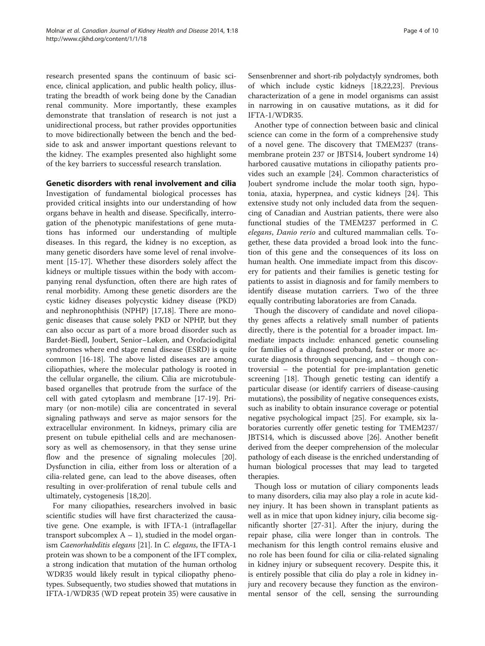research presented spans the continuum of basic science, clinical application, and public health policy, illustrating the breadth of work being done by the Canadian renal community. More importantly, these examples demonstrate that translation of research is not just a unidirectional process, but rather provides opportunities to move bidirectionally between the bench and the bedside to ask and answer important questions relevant to the kidney. The examples presented also highlight some of the key barriers to successful research translation.

### Genetic disorders with renal involvement and cilia

Investigation of fundamental biological processes has provided critical insights into our understanding of how organs behave in health and disease. Specifically, interrogation of the phenotypic manifestations of gene mutations has informed our understanding of multiple diseases. In this regard, the kidney is no exception, as many genetic disorders have some level of renal involvement [\[15-17](#page-7-0)]. Whether these disorders solely affect the kidneys or multiple tissues within the body with accompanying renal dysfunction, often there are high rates of renal morbidity. Among these genetic disorders are the cystic kidney diseases polycystic kidney disease (PKD) and nephronophthisis (NPHP) [\[17,18\]](#page-7-0). There are monogenic diseases that cause solely PKD or NPHP, but they can also occur as part of a more broad disorder such as Bardet-Biedl, Joubert, Senior–Løken, and Orofaciodigital syndromes where end stage renal disease (ESRD) is quite common [[16-18\]](#page-7-0). The above listed diseases are among ciliopathies, where the molecular pathology is rooted in the cellular organelle, the cilium. Cilia are microtubulebased organelles that protrude from the surface of the cell with gated cytoplasm and membrane [[17-19](#page-7-0)]. Primary (or non-motile) cilia are concentrated in several signaling pathways and serve as major sensors for the extracellular environment. In kidneys, primary cilia are present on tubule epithelial cells and are mechanosensory as well as chemosensory, in that they sense urine flow and the presence of signaling molecules [\[20](#page-7-0)]. Dysfunction in cilia, either from loss or alteration of a cilia-related gene, can lead to the above diseases, often resulting in over-proliferation of renal tubule cells and ultimately, cystogenesis [[18,20](#page-7-0)].

For many ciliopathies, researchers involved in basic scientific studies will have first characterized the causative gene. One example, is with IFTA-1 (intraflagellar transport subcomplex  $A - 1$ ), studied in the model organism Caenorhabditis elegans [\[21\]](#page-7-0). In C. elegans, the IFTA-1 protein was shown to be a component of the IFT complex, a strong indication that mutation of the human ortholog WDR35 would likely result in typical ciliopathy phenotypes. Subsequently, two studies showed that mutations in IFTA-1/WDR35 (WD repeat protein 35) were causative in Sensenbrenner and short-rib polydactyly syndromes, both of which include cystic kidneys [[18,22,](#page-7-0)[23\]](#page-8-0). Previous characterization of a gene in model organisms can assist in narrowing in on causative mutations, as it did for IFTA-1/WDR35.

Another type of connection between basic and clinical science can come in the form of a comprehensive study of a novel gene. The discovery that TMEM237 (transmembrane protein 237 or JBTS14, Joubert syndrome 14) harbored causative mutations in ciliopathy patients provides such an example [[24\]](#page-8-0). Common characteristics of Joubert syndrome include the molar tooth sign, hypotonia, ataxia, hyperpnea, and cystic kidneys [\[24](#page-8-0)]. This extensive study not only included data from the sequencing of Canadian and Austrian patients, there were also functional studies of the TMEM237 performed in C. elegans, Danio rerio and cultured mammalian cells. Together, these data provided a broad look into the function of this gene and the consequences of its loss on human health. One immediate impact from this discovery for patients and their families is genetic testing for patients to assist in diagnosis and for family members to identify disease mutation carriers. Two of the three equally contributing laboratories are from Canada.

Though the discovery of candidate and novel ciliopathy genes affects a relatively small number of patients directly, there is the potential for a broader impact. Immediate impacts include: enhanced genetic counseling for families of a diagnosed proband, faster or more accurate diagnosis through sequencing, and – though controversial – the potential for pre-implantation genetic screening [\[18](#page-7-0)]. Though genetic testing can identify a particular disease (or identify carriers of disease-causing mutations), the possibility of negative consequences exists, such as inability to obtain insurance coverage or potential negative psychological impact [\[25\]](#page-8-0). For example, six laboratories currently offer genetic testing for TMEM237/ JBTS14, which is discussed above [[26](#page-8-0)]. Another benefit derived from the deeper comprehension of the molecular pathology of each disease is the enriched understanding of human biological processes that may lead to targeted therapies.

Though loss or mutation of ciliary components leads to many disorders, cilia may also play a role in acute kidney injury. It has been shown in transplant patients as well as in mice that upon kidney injury, cilia become significantly shorter [[27-31](#page-8-0)]. After the injury, during the repair phase, cilia were longer than in controls. The mechanism for this length control remains elusive and no role has been found for cilia or cilia-related signaling in kidney injury or subsequent recovery. Despite this, it is entirely possible that cilia do play a role in kidney injury and recovery because they function as the environmental sensor of the cell, sensing the surrounding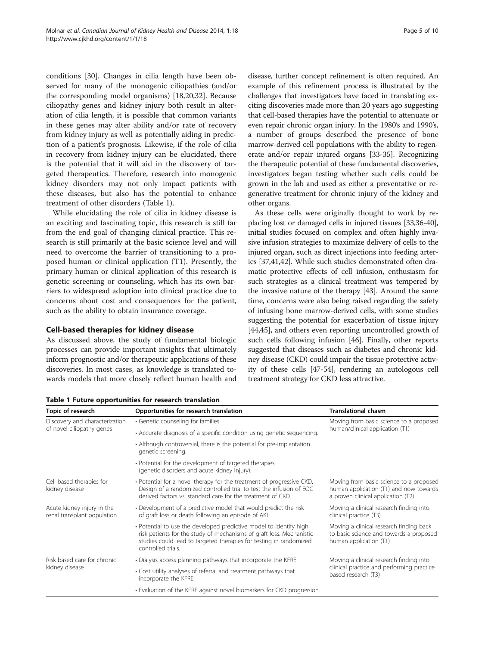<span id="page-4-0"></span>conditions [\[30\]](#page-8-0). Changes in cilia length have been observed for many of the monogenic ciliopathies (and/or the corresponding model organisms) [\[18,20](#page-7-0)[,32](#page-8-0)]. Because ciliopathy genes and kidney injury both result in alteration of cilia length, it is possible that common variants in these genes may alter ability and/or rate of recovery from kidney injury as well as potentially aiding in prediction of a patient's prognosis. Likewise, if the role of cilia in recovery from kidney injury can be elucidated, there is the potential that it will aid in the discovery of targeted therapeutics. Therefore, research into monogenic kidney disorders may not only impact patients with these diseases, but also has the potential to enhance treatment of other disorders (Table 1).

While elucidating the role of cilia in kidney disease is an exciting and fascinating topic, this research is still far from the end goal of changing clinical practice. This research is still primarily at the basic science level and will need to overcome the barrier of transitioning to a proposed human or clinical application (T1). Presently, the primary human or clinical application of this research is genetic screening or counseling, which has its own barriers to widespread adoption into clinical practice due to concerns about cost and consequences for the patient, such as the ability to obtain insurance coverage.

## Cell-based therapies for kidney disease

As discussed above, the study of fundamental biologic processes can provide important insights that ultimately inform prognostic and/or therapeutic applications of these discoveries. In most cases, as knowledge is translated towards models that more closely reflect human health and disease, further concept refinement is often required. An example of this refinement process is illustrated by the challenges that investigators have faced in translating exciting discoveries made more than 20 years ago suggesting that cell-based therapies have the potential to attenuate or even repair chronic organ injury. In the 1980's and 1990's, a number of groups described the presence of bone marrow-derived cell populations with the ability to regenerate and/or repair injured organs [\[33-35\]](#page-8-0). Recognizing the therapeutic potential of these fundamental discoveries, investigators began testing whether such cells could be grown in the lab and used as either a preventative or regenerative treatment for chronic injury of the kidney and other organs.

As these cells were originally thought to work by replacing lost or damaged cells in injured tissues [[33,36](#page-8-0)-[40](#page-8-0)], initial studies focused on complex and often highly invasive infusion strategies to maximize delivery of cells to the injured organ, such as direct injections into feeding arteries [\[37,41,42](#page-8-0)]. While such studies demonstrated often dramatic protective effects of cell infusion, enthusiasm for such strategies as a clinical treatment was tempered by the invasive nature of the therapy [\[43\]](#page-8-0). Around the same time, concerns were also being raised regarding the safety of infusing bone marrow-derived cells, with some studies suggesting the potential for exacerbation of tissue injury [[44](#page-8-0),[45](#page-8-0)], and others even reporting uncontrolled growth of such cells following infusion [\[46](#page-8-0)]. Finally, other reports suggested that diseases such as diabetes and chronic kidney disease (CKD) could impair the tissue protective activity of these cells [\[47-54\]](#page-8-0), rendering an autologous cell treatment strategy for CKD less attractive.

| Topic of research                                           | Opportunities for research translation                                                                                                                                                                                                 | <b>Translational chasm</b>                                                                                              |
|-------------------------------------------------------------|----------------------------------------------------------------------------------------------------------------------------------------------------------------------------------------------------------------------------------------|-------------------------------------------------------------------------------------------------------------------------|
| Discovery and characterization<br>of novel ciliopathy genes | • Genetic counseling for families.                                                                                                                                                                                                     | Moving from basic science to a proposed<br>human/clinical application (T1)                                              |
|                                                             | • Accurate diagnosis of a specific condition using genetic sequencing.                                                                                                                                                                 |                                                                                                                         |
|                                                             | • Although controversial, there is the potential for pre-implantation<br>genetic screening.                                                                                                                                            |                                                                                                                         |
|                                                             | • Potential for the development of targeted therapies<br>(genetic disorders and acute kidney injury).                                                                                                                                  |                                                                                                                         |
| Cell based therapies for<br>kidney disease                  | . Potential for a novel therapy for the treatment of progressive CKD.<br>Design of a randomized controlled trial to test the infusion of EOC<br>derived factors vs. standard care for the treatment of CKD.                            | Moving from basic science to a proposed<br>human application (T1) and now towards<br>a proven clinical application (T2) |
| Acute kidney injury in the<br>renal transplant population   | • Development of a predictive model that would predict the risk<br>of graft loss or death following an episode of AKI.                                                                                                                 | Moving a clinical research finding into<br>clinical practice (T3)                                                       |
|                                                             | • Potential to use the developed predictive model to identify high<br>risk patients for the study of mechanisms of graft loss. Mechanistic<br>studies could lead to targeted therapies for testing in randomized<br>controlled trials. | Moving a clinical research finding back<br>to basic science and towards a proposed<br>human application (T1)            |
| Risk based care for chronic<br>kidney disease               | . Dialysis access planning pathways that incorporate the KFRE.                                                                                                                                                                         | Moving a clinical research finding into<br>clinical practice and performing practice<br>based research (T3)             |
|                                                             | • Cost utility analyses of referral and treatment pathways that<br>incorporate the KFRE.                                                                                                                                               |                                                                                                                         |
|                                                             | • Evaluation of the KFRE against novel biomarkers for CKD progression.                                                                                                                                                                 |                                                                                                                         |

Table 1 Future opportunities for research translation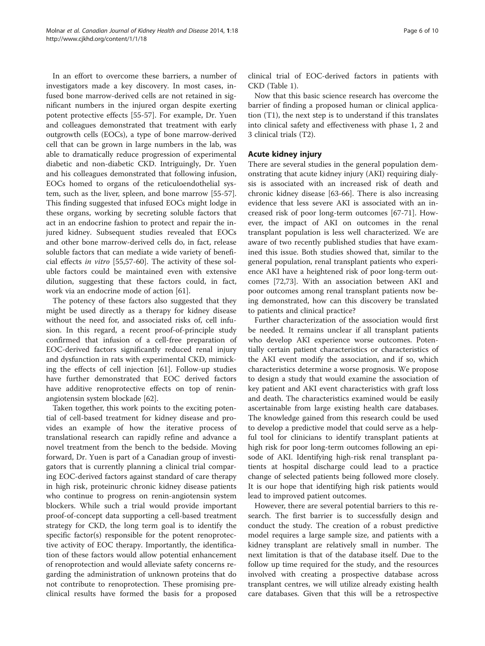In an effort to overcome these barriers, a number of investigators made a key discovery. In most cases, infused bone marrow-derived cells are not retained in significant numbers in the injured organ despite exerting potent protective effects [[55-57\]](#page-8-0). For example, Dr. Yuen and colleagues demonstrated that treatment with early outgrowth cells (EOCs), a type of bone marrow-derived cell that can be grown in large numbers in the lab, was able to dramatically reduce progression of experimental diabetic and non-diabetic CKD. Intriguingly, Dr. Yuen and his colleagues demonstrated that following infusion, EOCs homed to organs of the reticuloendothelial system, such as the liver, spleen, and bone marrow [\[55-57](#page-8-0)]. This finding suggested that infused EOCs might lodge in these organs, working by secreting soluble factors that act in an endocrine fashion to protect and repair the injured kidney. Subsequent studies revealed that EOCs and other bone marrow-derived cells do, in fact, release soluble factors that can mediate a wide variety of beneficial effects in vitro [[55,57-](#page-8-0)[60\]](#page-9-0). The activity of these soluble factors could be maintained even with extensive dilution, suggesting that these factors could, in fact, work via an endocrine mode of action [[61\]](#page-9-0).

The potency of these factors also suggested that they might be used directly as a therapy for kidney disease without the need for, and associated risks of, cell infusion. In this regard, a recent proof-of-principle study confirmed that infusion of a cell-free preparation of EOC-derived factors significantly reduced renal injury and dysfunction in rats with experimental CKD, mimicking the effects of cell injection [[61](#page-9-0)]. Follow-up studies have further demonstrated that EOC derived factors have additive renoprotective effects on top of reninangiotensin system blockade [\[62](#page-9-0)].

Taken together, this work points to the exciting potential of cell-based treatment for kidney disease and provides an example of how the iterative process of translational research can rapidly refine and advance a novel treatment from the bench to the bedside. Moving forward, Dr. Yuen is part of a Canadian group of investigators that is currently planning a clinical trial comparing EOC-derived factors against standard of care therapy in high risk, proteinuric chronic kidney disease patients who continue to progress on renin-angiotensin system blockers. While such a trial would provide important proof-of-concept data supporting a cell-based treatment strategy for CKD, the long term goal is to identify the specific factor(s) responsible for the potent renoprotective activity of EOC therapy. Importantly, the identification of these factors would allow potential enhancement of renoprotection and would alleviate safety concerns regarding the administration of unknown proteins that do not contribute to renoprotection. These promising preclinical results have formed the basis for a proposed

Now that this basic science research has overcome the barrier of finding a proposed human or clinical application (T1), the next step is to understand if this translates into clinical safety and effectiveness with phase 1, 2 and 3 clinical trials (T2).

## Acute kidney injury

There are several studies in the general population demonstrating that acute kidney injury (AKI) requiring dialysis is associated with an increased risk of death and chronic kidney disease [\[63](#page-9-0)-[66](#page-9-0)]. There is also increasing evidence that less severe AKI is associated with an increased risk of poor long-term outcomes [\[67](#page-9-0)-[71](#page-9-0)]. However, the impact of AKI on outcomes in the renal transplant population is less well characterized. We are aware of two recently published studies that have examined this issue. Both studies showed that, similar to the general population, renal transplant patients who experience AKI have a heightened risk of poor long-term outcomes [\[72,73\]](#page-9-0). With an association between AKI and poor outcomes among renal transplant patients now being demonstrated, how can this discovery be translated to patients and clinical practice?

Further characterization of the association would first be needed. It remains unclear if all transplant patients who develop AKI experience worse outcomes. Potentially certain patient characteristics or characteristics of the AKI event modify the association, and if so, which characteristics determine a worse prognosis. We propose to design a study that would examine the association of key patient and AKI event characteristics with graft loss and death. The characteristics examined would be easily ascertainable from large existing health care databases. The knowledge gained from this research could be used to develop a predictive model that could serve as a helpful tool for clinicians to identify transplant patients at high risk for poor long-term outcomes following an episode of AKI. Identifying high-risk renal transplant patients at hospital discharge could lead to a practice change of selected patients being followed more closely. It is our hope that identifying high risk patients would lead to improved patient outcomes.

However, there are several potential barriers to this research. The first barrier is to successfully design and conduct the study. The creation of a robust predictive model requires a large sample size, and patients with a kidney transplant are relatively small in number. The next limitation is that of the database itself. Due to the follow up time required for the study, and the resources involved with creating a prospective database across transplant centres, we will utilize already existing health care databases. Given that this will be a retrospective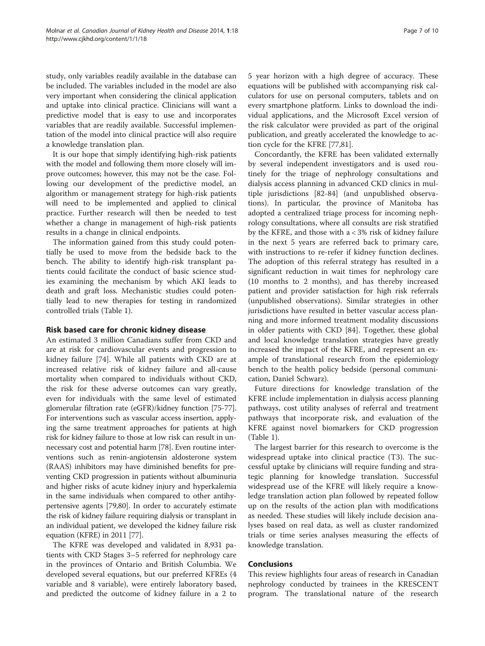study, only variables readily available in the database can be included. The variables included in the model are also very important when considering the clinical application and uptake into clinical practice. Clinicians will want a predictive model that is easy to use and incorporates variables that are readily available. Successful implementation of the model into clinical practice will also require a knowledge translation plan.

It is our hope that simply identifying high-risk patients with the model and following them more closely will improve outcomes; however, this may not be the case. Following our development of the predictive model, an algorithm or management strategy for high-risk patients will need to be implemented and applied to clinical practice. Further research will then be needed to test whether a change in management of high-risk patients results in a change in clinical endpoints.

The information gained from this study could potentially be used to move from the bedside back to the bench. The ability to identify high-risk transplant patients could facilitate the conduct of basic science studies examining the mechanism by which AKI leads to death and graft loss. Mechanistic studies could potentially lead to new therapies for testing in randomized controlled trials (Table [1\)](#page-4-0).

### Risk based care for chronic kidney disease

An estimated 3 million Canadians suffer from CKD and are at risk for cardiovascular events and progression to kidney failure [[74\]](#page-9-0). While all patients with CKD are at increased relative risk of kidney failure and all-cause mortality when compared to individuals without CKD, the risk for these adverse outcomes can vary greatly, even for individuals with the same level of estimated glomerular filtration rate (eGFR)/kidney function [[75](#page-9-0)-[77](#page-9-0)]. For interventions such as vascular access insertion, applying the same treatment approaches for patients at high risk for kidney failure to those at low risk can result in unnecessary cost and potential harm [[78](#page-9-0)]. Even routine interventions such as renin-angiotensin aldosterone system (RAAS) inhibitors may have diminished benefits for preventing CKD progression in patients without albuminuria and higher risks of acute kidney injury and hyperkalemia in the same individuals when compared to other antihypertensive agents [\[79,80\]](#page-9-0). In order to accurately estimate the risk of kidney failure requiring dialysis or transplant in an individual patient, we developed the kidney failure risk equation (KFRE) in 2011 [\[77\]](#page-9-0).

The KFRE was developed and validated in 8,931 patients with CKD Stages 3–5 referred for nephrology care in the provinces of Ontario and British Columbia. We developed several equations, but our preferred KFREs (4 variable and 8 variable), were entirely laboratory based, and predicted the outcome of kidney failure in a 2 to 5 year horizon with a high degree of accuracy. These equations will be published with accompanying risk calculators for use on personal computers, tablets and on every smartphone platform. Links to download the individual applications, and the Microsoft Excel version of the risk calculator were provided as part of the original publication, and greatly accelerated the knowledge to action cycle for the KFRE [[77,81\]](#page-9-0).

Concordantly, the KFRE has been validated externally by several independent investigators and is used routinely for the triage of nephrology consultations and dialysis access planning in advanced CKD clinics in multiple jurisdictions [\[82-84](#page-9-0)] (and unpublished observations). In particular, the province of Manitoba has adopted a centralized triage process for incoming nephrology consultations, where all consults are risk stratified by the KFRE, and those with a < 3% risk of kidney failure in the next 5 years are referred back to primary care, with instructions to re-refer if kidney function declines. The adoption of this referral strategy has resulted in a significant reduction in wait times for nephrology care (10 months to 2 months), and has thereby increased patient and provider satisfaction for high risk referrals (unpublished observations). Similar strategies in other jurisdictions have resulted in better vascular access planning and more informed treatment modality discussions in older patients with CKD [\[84](#page-9-0)]. Together, these global and local knowledge translation strategies have greatly increased the impact of the KFRE, and represent an example of translational research from the epidemiology bench to the health policy bedside (personal communication, Daniel Schwarz).

Future directions for knowledge translation of the KFRE include implementation in dialysis access planning pathways, cost utility analyses of referral and treatment pathways that incorporate risk, and evaluation of the KFRE against novel biomarkers for CKD progression (Table [1\)](#page-4-0).

The largest barrier for this research to overcome is the widespread uptake into clinical practice (T3). The successful uptake by clinicians will require funding and strategic planning for knowledge translation. Successful widespread use of the KFRE will likely require a knowledge translation action plan followed by repeated follow up on the results of the action plan with modifications as needed. These studies will likely include decision analyses based on real data, as well as cluster randomized trials or time series analyses measuring the effects of knowledge translation.

## **Conclusions**

This review highlights four areas of research in Canadian nephrology conducted by trainees in the KRESCENT program. The translational nature of the research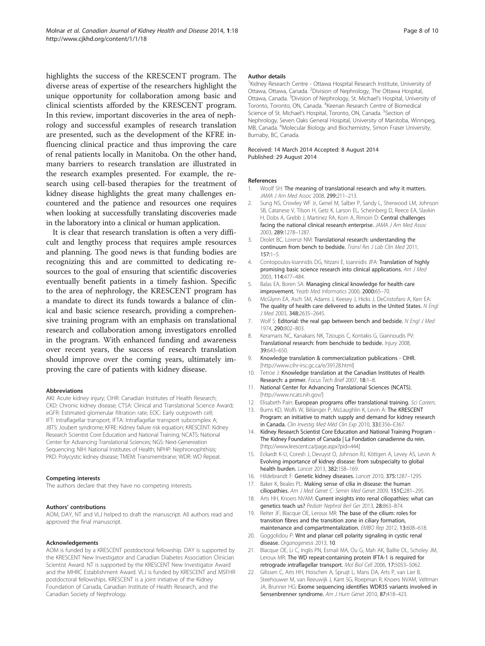<span id="page-7-0"></span>highlights the success of the KRESCENT program. The diverse areas of expertise of the researchers highlight the unique opportunity for collaboration among basic and clinical scientists afforded by the KRESCENT program. In this review, important discoveries in the area of nephrology and successful examples of research translation are presented, such as the development of the KFRE influencing clinical practice and thus improving the care of renal patients locally in Manitoba. On the other hand, many barriers to research translation are illustrated in the research examples presented. For example, the research using cell-based therapies for the treatment of kidney disease highlights the great many challenges encountered and the patience and resources one requires when looking at successfully translating discoveries made in the laboratory into a clinical or human application.

It is clear that research translation is often a very difficult and lengthy process that requires ample resources and planning. The good news is that funding bodies are recognizing this and are committed to dedicating resources to the goal of ensuring that scientific discoveries eventually benefit patients in a timely fashion. Specific to the area of nephrology, the KRESCENT program has a mandate to direct its funds towards a balance of clinical and basic science research, providing a comprehensive training program with an emphasis on translational research and collaboration among investigators enrolled in the program. With enhanced funding and awareness over recent years, the success of research translation should improve over the coming years, ultimately improving the care of patients with kidney disease.

#### Abbreviations

AKI: Acute kidney injury; CIHR: Canadian Institutes of Health Research; CKD: Chronic kidney disease; CTSA: Clinical and Translational Science Award; eGFR: Estimated glomerular filtration rate; EOC: Early outgrowth cell; IFT: Intraflagellar transport; IFTA: Intraflagellar transport subcomplex A; JBTS: Joubert syndrome; KFRE: Kidney failure risk equation; KRESCENT: Kidney Research Scientist Core Education and National Training; NCATS: National Center for Advancing Translational Sciences; NGS: Next-Genereation Sequencing; NIH: National Institutes of Health; NPHP: Nephronophthisis; PKD: Polycystic kidney disease; TMEM: Transmembrane; WDR: WD Repeat.

#### Competing interests

The authors declare that they have no competing interests.

#### Authors' contributions

AOM, DAY, NT and VLJ helped to draft the manuscript. All authors read and approved the final manuscript.

#### Acknowledgements

AOM is funded by a KRESCENT postdoctoral fellowship. DAY is supported by the KRESCENT New Investigator and Canadian Diabetes Association Clinician Scientist Award. NT is supported by the KRESCENT New Investigator Award and the MHRC Establishment Award. VLJ is funded by KRESCENT and MSFHR postdoctoral fellowships. KRESCENT is a joint initiative of the Kidney Foundation of Canada, Canadian Institute of Health Research, and the Canadian Society of Nephrology.

#### Author details

<sup>1</sup> Kidney Research Centre - Ottawa Hospital Research Institute, University of Ottawa, Ottawa, Canada. <sup>2</sup> Division of Nephrology, The Ottawa Hospital Ottawa, Canada. <sup>3</sup>Division of Nephrology, St. Michael's Hospital, University of Toronto, Toronto, ON, Canada. <sup>4</sup> Keenan Research Centre of Biomedical Science of St. Michael's Hospital, Toronto, ON, Canada. <sup>5</sup>Section of Nephrology, Seven Oaks General Hospital, University of Manitoba, Winnipeg, MB, Canada. <sup>6</sup>Molecular Biology and Biochemistry, Simon Fraser University, Burnaby, BC, Canada.

#### Received: 14 March 2014 Accepted: 8 August 2014 Published: 29 August 2014

#### References

- 1. Woolf SH: The meaning of translational research and why it matters. JAMA J Am Med Assoc 2008, 299:211–213.
- 2. Sung NS, Crowley WF Jr, Genel M, Salber P, Sandy L, Sherwood LM, Johnson SB, Catanese V, Tilson H, Getz K, Larson EL, Scheinberg D, Reece EA, Slavkin H, Dobs A, Grebb J, Martinez RA, Korn A, Rimoin D: Central challenges facing the national clinical research enterprise. JAMA J Am Med Assoc 2003, 289:1278–1287.
- 3. Drolet BC, Lorenzi NM: Translational research: understanding the continuum from bench to bedside. Transl Res J Lab Clin Med 2011, 157:1–5.
- 4. Contopoulos-Ioannidis DG, Ntzani E, Ioannidis JPA: Translation of highly promising basic science research into clinical applications. Am J Med 2003, 114:477–484.
- 5. Balas EA, Boren SA: Managing clinical knowledge for health care improvement. Yearb Med Informatics 2000, 2000:65–70.
- 6. McGlynn EA, Asch SM, Adams J, Keesey J, Hicks J, DeCristofaro A, Kerr EA: The quality of health care delivered to adults in the United States. N Engl J Med 2003, 348:2635–2645.
- 7. Wolf S: Editorial: the real gap between bench and bedside. N Engl J Med 1974, 290:802-803.
- 8. Keramaris NC, Kanakaris NK, Tzioupis C, Kontakis G, Giannoudis PV: Translational research: from benchside to bedside. Injury 2008, 39:643–650.
- 9. Knowledge translation & commercialization publications CIHR. [<http://www.cihr-irsc.gc.ca/e/39128.html>]
- 10. Tetroe J: Knowledge translation at the Canadian Institutes of Health Research: a primer. Focus Tech Brief 2007, 18:1-8.
- 11. National Center for Advancing Translational Sciences (NCATS). [[http://www.ncats.nih.gov/\]](http://www.ncats.nih.gov/)
- 12. Elisabeth Pain: European programs offer translational training. Sci Careers.
- 13. Burns KD, Wolfs W, Bélanger P, McLaughlin K, Levin A: The KRESCENT Program: an initiative to match supply and demand for kidney research
- in Canada. Clin Investig Med Méd Clin Exp 2010, 33:E356–E367. 14. Kidney Research Scientist Core Education and National Training Program - The Kidney Foundation of Canada | La Fondation canadienne du rein. [<http://www.krescent.ca/page.aspx?pid=444>]
- 15. Eckardt K-U, Coresh J, Devuyst O, Johnson RJ, Köttgen A, Levey AS, Levin A: Evolving importance of kidney disease: from subspecialty to global health burden. Lancet 2013, 382:158–169.
- 16. Hildebrandt F: Genetic kidney diseases. Lancet 2010, 375:1287-1295.
- 17. Baker K, Beales PL: Making sense of cilia in disease: the human ciliopathies. Am J Med Genet C: Semin Med Genet 2009, 151C:281–295.
- 18. Arts HH, Knoers NVAM: Current insights into renal ciliopathies: what can genetics teach us? Pediatr Nephrol Berl Ger 2013, 28:863–874.
- 19. Reiter JF, Blacque OE, Leroux MR: The base of the cilium: roles for transition fibres and the transition zone in ciliary formation, maintenance and compartmentalization. EMBO Rep 2012, 13:608-618.
- 20. Goggolidou P: Wnt and planar cell polarity signaling in cystic renal disease. Organogenesis 2013, 10.
- 21. Blacque OE, Li C, Inglis PN, Esmail MA, Ou G, Mah AK, Baillie DL, Scholey JM, Leroux MR: The WD repeat-containing protein IFTA-1 is required for retrograde intraflagellar transport. Mol Biol Cell 2006, 17:5053–5062.
- 22. Gilissen C, Arts HH, Hoischen A, Spruijt L, Mans DA, Arts P, van Lier B, Steehouwer M, van Reeuwijk J, Kant SG, Roepman R, Knoers NVAM, Veltman JA, Brunner HG: Exome sequencing identifies WDR35 variants involved in Sensenbrenner syndrome. Am J Hum Genet 2010, 87:418–423.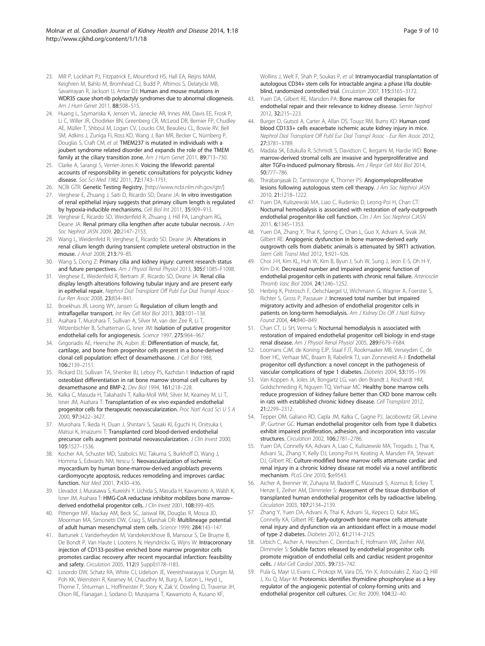- <span id="page-8-0"></span>23. Mill P, Lockhart PJ, Fitzpatrick E, Mountford HS, Hall EA, Reijns MAM, Keighren M, Bahlo M, Bromhead CJ, Budd P, Aftimos S, Delatycki MB, Savarirayan R, Jackson IJ, Amor DJ: Human and mouse mutations in WDR35 cause short-rib polydactyly syndromes due to abnormal ciliogenesis. Am J Hum Genet 2011, 88:508–515.
- 24. Huang L, Szymanska K, Jensen VL, Janecke AR, Innes AM, Davis EE, Frosk P, Li C, Willer JR, Chodirker BN, Greenberg CR, McLeod DR, Bernier FP, Chudley AE, Müller T, Shboul M, Logan CV, Loucks CM, Beaulieu CL, Bowie RV, Bell SM, Adkins J, Zuniga FI, Ross KD, Wang J, Ban MR, Becker C, Nürnberg P, Douglas S, Craft CM, et al: TMEM237 is mutated in individuals with a joubert syndrome related disorder and expands the role of the TMEM family at the ciliary transition zone. Am J Hum Genet 2011, 89:713–730.
- 25. Clarke A, Sarangi S, Verrier-Jones K: Voicing the lifeworld: parental accounts of responsibility in genetic consultations for polycystic kidney disease. Soc Sci Med 1982 2011, 72:1743–1751.
- 26. NCBI GTR: Genetic Testing Registry. [[http://www.ncbi.nlm.nih.gov/gtr/\]](http://www.ncbi.nlm.nih.gov/gtr/)
- 27. Verghese E, Zhuang J, Saiti D, Ricardo SD, Deane JA: In vitro investigation of renal epithelial injury suggests that primary cilium length is regulated by hypoxia-inducible mechanisms. Cell Biol Int 2011, 35:909–913.
- 28. Verghese E, Ricardo SD, Weidenfeld R, Zhuang J, Hill PA, Langham RG, Deane JA: Renal primary cilia lengthen after acute tubular necrosis. J Am Soc Nephrol JASN 2009, 20:2147–2153.
- 29. Wang L, Weidenfeld R, Verghese E, Ricardo SD, Deane JA: Alterations in renal cilium length during transient complete ureteral obstruction in the mouse. J Anat 2008, 213:79–85.
- 30. Wang S, Dong Z: Primary cilia and kidney injury: current research status and future perspectives. Am J Physiol Renal Physiol 2013, 305:F1085–F1098.
- 31. Verghese E, Weidenfeld R, Bertram JF, Ricardo SD, Deane JA: Renal cilia display length alterations following tubular injury and are present early in epithelial repair. Nephrol Dial Transplant Off Publ Eur Dial Transpl Assoc -Eur Ren Assoc 2008, 23:834–841.
- 32. Broekhuis JR, Leong WY, Jansen G: Regulation of cilium length and intraflagellar transport. Int Rev Cell Mol Biol 2013, 303:101–138.
- 33. Asahara T, Murohara T, Sullivan A, Silver M, van der Zee R, Li T, Witzenbichler B, Schatteman G, Isner JM: Isolation of putative progenitor endothelial cells for angiogenesis. Science 1997, 275:964–967.
- 34. Grigoriadis AE, Heersche JN, Aubin JE: Differentiation of muscle, fat, cartilage, and bone from progenitor cells present in a bone-derived clonal cell population: effect of dexamethasone. J Cell Biol 1988, 106:2139–2151.
- 35. Rickard DJ, Sullivan TA, Shenker BJ, Leboy PS, Kazhdan I: Induction of rapid osteoblast differentiation in rat bone marrow stromal cell cultures by dexamethasone and BMP-2. Dev Biol 1994, 161:218–228.
- 36. Kalka C, Masuda H, Takahashi T, Kalka-Moll WM, Silver M, Kearney M, Li T, Isner JM, Asahara T: Transplantation of ex vivo expanded endothelial progenitor cells for therapeutic neovascularization. Proc Natl Acad Sci U S A 2000, 97:3422–3427.
- 37. Murohara T, Ikeda H, Duan J, Shintani S, Sasaki KI, Eguchi H, Onitsuka I, Matsui K, Imaizumi T: Transplanted cord blood-derived endothelial precursor cells augment postnatal neovascularization. J Clin Invest 2000, 105:1527–1536.
- 38. Kocher AA, Schuster MD, Szabolcs MJ, Takuma S, Burkhoff D, Wang J, Homma S, Edwards NM, Itescu S: Neovascularization of ischemic myocardium by human bone-marrow-derived angioblasts prevents cardiomyocyte apoptosis, reduces remodeling and improves cardiac function. Nat Med 2001, 7:430–436.
- 39. Llevadot J, Murasawa S, Kureishi Y, Uchida S, Masuda H, Kawamoto A, Walsh K, Isner JM, Asahara T: HMG-CoA reductase inhibitor mobilizes bone marrow– derived endothelial progenitor cells. J Clin Invest 2001, 108:399-405.
- 40. Pittenger MF, Mackay AM, Beck SC, Jaiswal RK, Douglas R, Mosca JD, Moorman MA, Simonetti DW, Craig S, Marshak DR: Multilineage potential of adult human mesenchymal stem cells. Science 1999, 284:143–147.
- 41. Bartunek J, Vanderheyden M, Vandekerckhove B, Mansour S, De Bruyne B, De Bondt P, Van Haute I, Lootens N, Heyndrickx G, Wijns W: Intracoronary injection of CD133-positive enriched bone marrow progenitor cells promotes cardiac recovery after recent myocardial infarction: feasibility and safety. Circulation 2005, 112(9 Suppl):[178-1183.
- 42. Losordo DW, Schatz RA, White CJ, Udelson JE, Veereshwarayya V, Durgin M, Poh KK, Weinstein R, Kearney M, Chaudhry M, Burg A, Eaton L, Heyd L, Thorne T, Shturman L, Hoffmeister P, Story K, Zak V, Dowling D, Traverse JH, Olson RE, Flanagan J, Sodano D, Murayama T, Kawamoto A, Kusano KF,

Wollins J, Welt F, Shah P, Soukas P, et al: Intramyocardial transplantation of autologous CD34+ stem cells for intractable angina: a phase I/IIa doubleblind, randomized controlled trial. Circulation 2007, 115:3165–3172.

- 43. Yuen DA, Gilbert RE, Marsden PA: Bone marrow cell therapies for endothelial repair and their relevance to kidney disease. Semin Nephrol 2012, 32:215–223.
- 44. Burger D, Gutsol A, Carter A, Allan DS, Touyz RM, Burns KD: Human cord blood CD133+ cells exacerbate ischemic acute kidney injury in mice. Nephrol Dial Transplant Off Publ Eur Dial Transpl Assoc - Eur Ren Assoc 2012, 27:3781–3789.
- 45. Madala SK, Edukulla R, Schmidt S, Davidson C, Ikegami M, Hardie WD: Bonemarrow-derived stromal cells are invasive and hyperproliferative and alter TGFα-induced pulmonary fibrosis. Am J Respir Cell Mol Biol 2014, 50:777–786.
- 46. Thirabanjasak D, Tantiwongse K, Thorner PS: Angiomyeloproliferative lesions following autologous stem cell therapy. J Am Soc Nephrol JASN 2010, 21:1218–1222.
- 47. Yuen DA, Kuliszewski MA, Liao C, Rudenko D, Leong-Poi H, Chan CT: Nocturnal hemodialysis is associated with restoration of early-outgrowth endothelial progenitor-like cell function. Clin J Am Soc Nephrol CJASN 2011, 6:1345–1353.
- 48. Yuen DA, Zhang Y, Thai K, Spring C, Chan L, Guo X, Advani A, Sivak JM, Gilbert RE: Angiogenic dysfunction in bone marrow-derived early outgrowth cells from diabetic animals is attenuated by SIRT1 activation. Stem Cells Transl Med 2012, 1:921–926.
- 49. Choi J-H, Kim KL, Huh W, Kim B, Byun J, Suh W, Sung J, Jeon E-S, Oh H-Y, Kim D-K: Decreased number and impaired angiogenic function of endothelial progenitor cells in patients with chronic renal failure. Arterioscler Thromb Vasc Biol 2004, 24:1246–1252.
- 50. Herbrig K, Pistrosch F, Oelschlaegel U, Wichmann G, Wagner A, Foerster S, Richter S, Gross P, Passauer J: Increased total number but impaired migratory activity and adhesion of endothelial progenitor cells in patients on long-term hemodialysis. Am J Kidney Dis Off J Natl Kidney Found 2004, 44:840–849.
- 51. Chan CT, Li SH, Verma S: Nocturnal hemodialysis is associated with restoration of impaired endothelial progenitor cell biology in end-stage renal disease. Am J Physiol Renal Physiol 2005, 289:F679–F684.
- 52. Loomans CJM, de Koning EJP, Staal FJT, Rookmaaker MB, Verseyden C, de Boer HC, Verhaar MC, Braam B, Rabelink TJ, van Zonneveld A-J: Endothelial progenitor cell dysfunction: a novel concept in the pathogenesis of vascular complications of type 1 diabetes. Diabetes 2004, 53:195–199.
- 53. Van Koppen A, Joles JA, Bongartz LG, van den Brandt J, Reichardt HM, Goldschmeding R, Nguyen TQ, Verhaar MC: Healthy bone marrow cells reduce progression of kidney failure better than CKD bone marrow cells in rats with established chronic kidney disease. Cell Transplant 2012, 21:2299–2312.
- 54. Tepper OM, Galiano RD, Capla JM, Kalka C, Gagne PJ, Jacobowitz GR, Levine JP, Gurtner GC: Human endothelial progenitor cells from type II diabetics exhibit impaired proliferation, adhesion, and incorporation into vascular structures. Circulation 2002, 106:2781–2786.
- 55. Yuen DA, Connelly KA, Advani A, Liao C, Kuliszewski MA, Trogadis J, Thai K, Advani SL, Zhang Y, Kelly DJ, Leong-Poi H, Keating A, Marsden PA, Stewart DJ, Gilbert RE: Culture-modified bone marrow cells attenuate cardiac and renal injury in a chronic kidney disease rat model via a novel antifibrotic mechanism. PLoS One 2010, 5:e9543.
- 56. Aicher A, Brenner W, Zuhayra M, Badorff C, Massoudi S, Assmus B, Eckey T, Henze E, Zeiher AM, Dimmeler S: Assessment of the tissue distribution of transplanted human endothelial progenitor cells by radioactive labeling. Circulation 2003, 107:2134–2139.
- 57. Zhang Y, Yuen DA, Advani A, Thai K, Advani SL, Kepecs D, Kabir MG, Connelly KA, Gilbert RE: Early-outgrowth bone marrow cells attenuate renal injury and dysfunction via an antioxidant effect in a mouse model of type 2 diabetes. Diabetes 2012, 61:2114–2125.
- 58. Urbich C, Aicher A, Heeschen C, Dernbach E, Hofmann WK, Zeiher AM, Dimmeler S: Soluble factors released by endothelial progenitor cells promote migration of endothelial cells and cardiac resident progenitor cells. J Mol Cell Cardiol 2005, 39:733–742.
- 59. Pula G, Mayr U, Evans C, Prokopi M, Vara DS, Yin X, Astroulakis Z, Xiao Q, Hill J, Xu Q, Mayr M: Proteomics identifies thymidine phosphorylase as a key regulator of the angiogenic potential of colony-forming units and endothelial progenitor cell cultures. Circ Res 2009, 104:32–40.